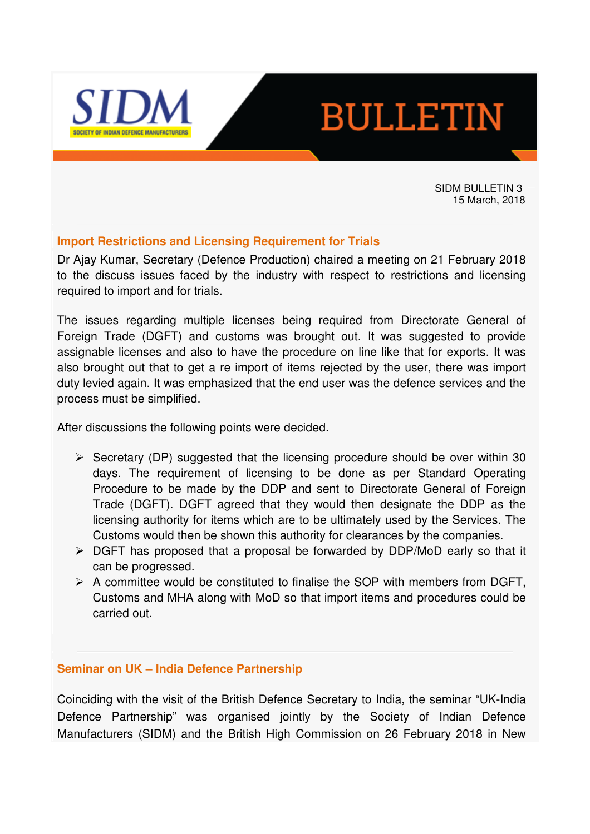

# **BULLETIN**

SIDM BULLETIN 3 15 March, 2018

# **Import Restrictions and Licensing Requirement for Trials**

Dr Ajay Kumar, Secretary (Defence Production) chaired a meeting on 21 February 2018 to the discuss issues faced by the industry with respect to restrictions and licensing required to import and for trials.

The issues regarding multiple licenses being required from Directorate General of Foreign Trade (DGFT) and customs was brought out. It was suggested to provide assignable licenses and also to have the procedure on line like that for exports. It was also brought out that to get a re import of items rejected by the user, there was import duty levied again. It was emphasized that the end user was the defence services and the process must be simplified.

After discussions the following points were decided.

- $\triangleright$  Secretary (DP) suggested that the licensing procedure should be over within 30 days. The requirement of licensing to be done as per Standard Operating Procedure to be made by the DDP and sent to Directorate General of Foreign Trade (DGFT). DGFT agreed that they would then designate the DDP as the licensing authority for items which are to be ultimately used by the Services. The Customs would then be shown this authority for clearances by the companies.
- DGFT has proposed that a proposal be forwarded by DDP/MoD early so that it can be progressed.
- $\triangleright$  A committee would be constituted to finalise the SOP with members from DGFT, Customs and MHA along with MoD so that import items and procedures could be carried out.

#### **Seminar on UK – India Defence Partnership**

Coinciding with the visit of the British Defence Secretary to India, the seminar "UK-India Defence Partnership" was organised jointly by the Society of Indian Defence Manufacturers (SIDM) and the British High Commission on 26 February 2018 in New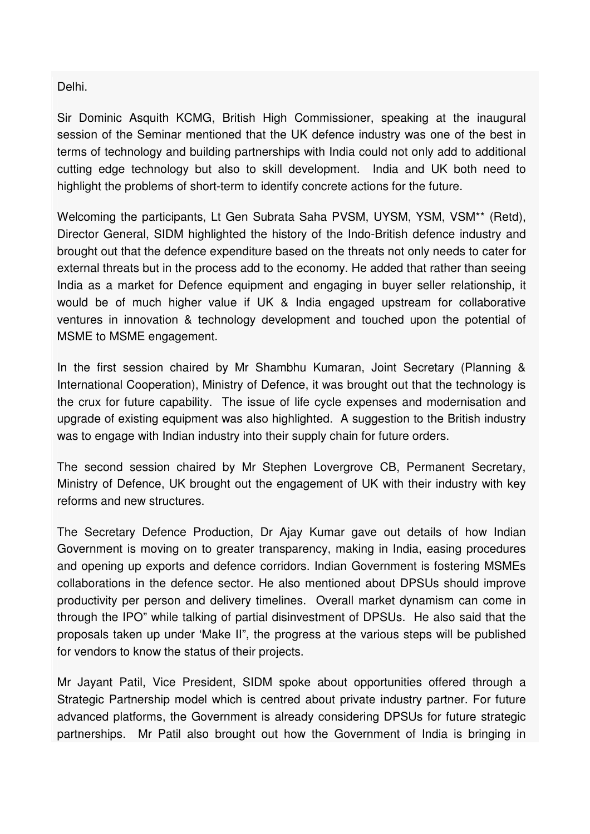Delhi.

Sir Dominic Asquith KCMG, British High Commissioner, speaking at the inaugural session of the Seminar mentioned that the UK defence industry was one of the best in terms of technology and building partnerships with India could not only add to additional cutting edge technology but also to skill development. India and UK both need to highlight the problems of short-term to identify concrete actions for the future.

Welcoming the participants, Lt Gen Subrata Saha PVSM, UYSM, YSM, VSM\*\* (Retd), Director General, SIDM highlighted the history of the Indo-British defence industry and brought out that the defence expenditure based on the threats not only needs to cater for external threats but in the process add to the economy. He added that rather than seeing India as a market for Defence equipment and engaging in buyer seller relationship, it would be of much higher value if UK & India engaged upstream for collaborative ventures in innovation & technology development and touched upon the potential of MSME to MSME engagement.

In the first session chaired by Mr Shambhu Kumaran, Joint Secretary (Planning & International Cooperation), Ministry of Defence, it was brought out that the technology is the crux for future capability. The issue of life cycle expenses and modernisation and upgrade of existing equipment was also highlighted. A suggestion to the British industry was to engage with Indian industry into their supply chain for future orders.

The second session chaired by Mr Stephen Lovergrove CB, Permanent Secretary, Ministry of Defence, UK brought out the engagement of UK with their industry with key reforms and new structures.

The Secretary Defence Production, Dr Ajay Kumar gave out details of how Indian Government is moving on to greater transparency, making in India, easing procedures and opening up exports and defence corridors. Indian Government is fostering MSMEs collaborations in the defence sector. He also mentioned about DPSUs should improve productivity per person and delivery timelines. Overall market dynamism can come in through the IPO" while talking of partial disinvestment of DPSUs. He also said that the proposals taken up under 'Make II", the progress at the various steps will be published for vendors to know the status of their projects.

Mr Jayant Patil, Vice President, SIDM spoke about opportunities offered through a Strategic Partnership model which is centred about private industry partner. For future advanced platforms, the Government is already considering DPSUs for future strategic partnerships. Mr Patil also brought out how the Government of India is bringing in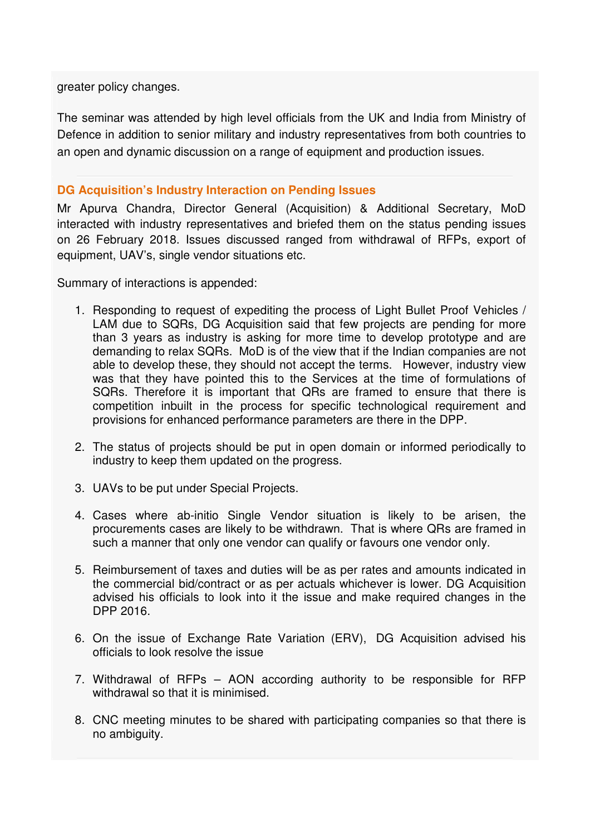greater policy changes.

The seminar was attended by high level officials from the UK and India from Ministry of Defence in addition to senior military and industry representatives from both countries to an open and dynamic discussion on a range of equipment and production issues.

# **DG Acquisition's Industry Interaction on Pending Issues**

Mr Apurva Chandra, Director General (Acquisition) & Additional Secretary, MoD interacted with industry representatives and briefed them on the status pending issues on 26 February 2018. Issues discussed ranged from withdrawal of RFPs, export of equipment, UAV's, single vendor situations etc.

Summary of interactions is appended:

- 1. Responding to request of expediting the process of Light Bullet Proof Vehicles / LAM due to SQRs, DG Acquisition said that few projects are pending for more than 3 years as industry is asking for more time to develop prototype and are demanding to relax SQRs. MoD is of the view that if the Indian companies are not able to develop these, they should not accept the terms. However, industry view was that they have pointed this to the Services at the time of formulations of SQRs. Therefore it is important that QRs are framed to ensure that there is competition inbuilt in the process for specific technological requirement and provisions for enhanced performance parameters are there in the DPP.
- 2. The status of projects should be put in open domain or informed periodically to industry to keep them updated on the progress.
- 3. UAVs to be put under Special Projects.
- 4. Cases where ab-initio Single Vendor situation is likely to be arisen, the procurements cases are likely to be withdrawn. That is where QRs are framed in such a manner that only one vendor can qualify or favours one vendor only.
- 5. Reimbursement of taxes and duties will be as per rates and amounts indicated in the commercial bid/contract or as per actuals whichever is lower. DG Acquisition advised his officials to look into it the issue and make required changes in the DPP 2016.
- 6. On the issue of Exchange Rate Variation (ERV), DG Acquisition advised his officials to look resolve the issue
- 7. Withdrawal of RFPs AON according authority to be responsible for RFP withdrawal so that it is minimised.
- 8. CNC meeting minutes to be shared with participating companies so that there is no ambiguity.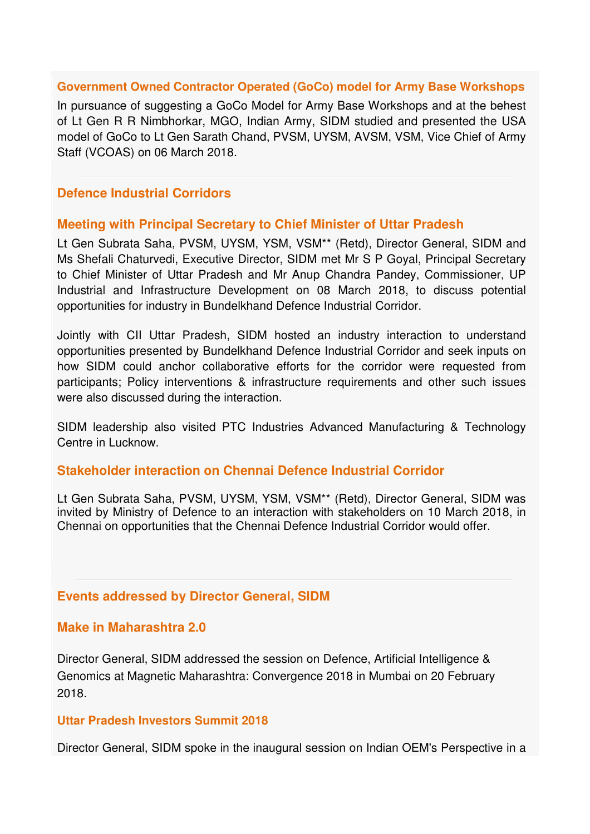#### **Government Owned Contractor Operated (GoCo) model for Army Base Workshops**

In pursuance of suggesting a GoCo Model for Army Base Workshops and at the behest of Lt Gen R R Nimbhorkar, MGO, Indian Army, SIDM studied and presented the USA model of GoCo to Lt Gen Sarath Chand, PVSM, UYSM, AVSM, VSM, Vice Chief of Army Staff (VCOAS) on 06 March 2018.

# **Defence Industrial Corridors**

#### **Meeting with Principal Secretary to Chief Minister of Uttar Pradesh**

Lt Gen Subrata Saha, PVSM, UYSM, YSM, VSM\*\* (Retd), Director General, SIDM and Ms Shefali Chaturvedi, Executive Director, SIDM met Mr S P Goyal, Principal Secretary to Chief Minister of Uttar Pradesh and Mr Anup Chandra Pandey, Commissioner, UP Industrial and Infrastructure Development on 08 March 2018, to discuss potential opportunities for industry in Bundelkhand Defence Industrial Corridor.

Jointly with CII Uttar Pradesh, SIDM hosted an industry interaction to understand opportunities presented by Bundelkhand Defence Industrial Corridor and seek inputs on how SIDM could anchor collaborative efforts for the corridor were requested from participants; Policy interventions & infrastructure requirements and other such issues were also discussed during the interaction.

SIDM leadership also visited PTC Industries Advanced Manufacturing & Technology Centre in Lucknow.

#### **Stakeholder interaction on Chennai Defence Industrial Corridor**

Lt Gen Subrata Saha, PVSM, UYSM, YSM, VSM\*\* (Retd), Director General, SIDM was invited by Ministry of Defence to an interaction with stakeholders on 10 March 2018, in Chennai on opportunities that the Chennai Defence Industrial Corridor would offer.

#### **Events addressed by Director General, SIDM**

#### **Make in Maharashtra 2.0**

Director General, SIDM addressed the session on Defence, Artificial Intelligence & Genomics at Magnetic Maharashtra: Convergence 2018 in Mumbai on 20 February 2018.

#### **Uttar Pradesh Investors Summit 2018**

Director General, SIDM spoke in the inaugural session on Indian OEM's Perspective in a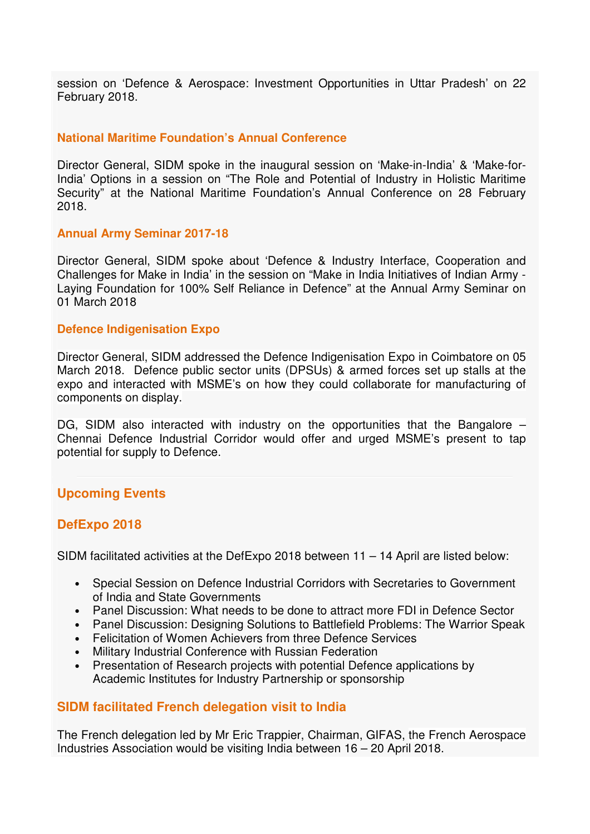session on 'Defence & Aerospace: Investment Opportunities in Uttar Pradesh' on 22 February 2018.

#### **National Maritime Foundation's Annual Conference**

Director General, SIDM spoke in the inaugural session on 'Make-in-India' & 'Make-for-India' Options in a session on "The Role and Potential of Industry in Holistic Maritime Security" at the National Maritime Foundation's Annual Conference on 28 February 2018.

#### **Annual Army Seminar 2017-18**

Director General, SIDM spoke about 'Defence & Industry Interface, Cooperation and Challenges for Make in India' in the session on "Make in India Initiatives of Indian Army - Laying Foundation for 100% Self Reliance in Defence" at the Annual Army Seminar on 01 March 2018

#### **Defence Indigenisation Expo**

Director General, SIDM addressed the Defence Indigenisation Expo in Coimbatore on 05 March 2018. Defence public sector units (DPSUs) & armed forces set up stalls at the expo and interacted with MSME's on how they could collaborate for manufacturing of components on display.

DG, SIDM also interacted with industry on the opportunities that the Bangalore – Chennai Defence Industrial Corridor would offer and urged MSME's present to tap potential for supply to Defence.

# **Upcoming Events**

# **DefExpo 2018**

SIDM facilitated activities at the DefExpo 2018 between 11 – 14 April are listed below:

- Special Session on Defence Industrial Corridors with Secretaries to Government of India and State Governments
- Panel Discussion: What needs to be done to attract more FDI in Defence Sector
- Panel Discussion: Designing Solutions to Battlefield Problems: The Warrior Speak
- Felicitation of Women Achievers from three Defence Services
- Military Industrial Conference with Russian Federation
- Presentation of Research projects with potential Defence applications by Academic Institutes for Industry Partnership or sponsorship

# **SIDM facilitated French delegation visit to India**

The French delegation led by Mr Eric Trappier, Chairman, GIFAS, the French Aerospace Industries Association would be visiting India between 16 – 20 April 2018.